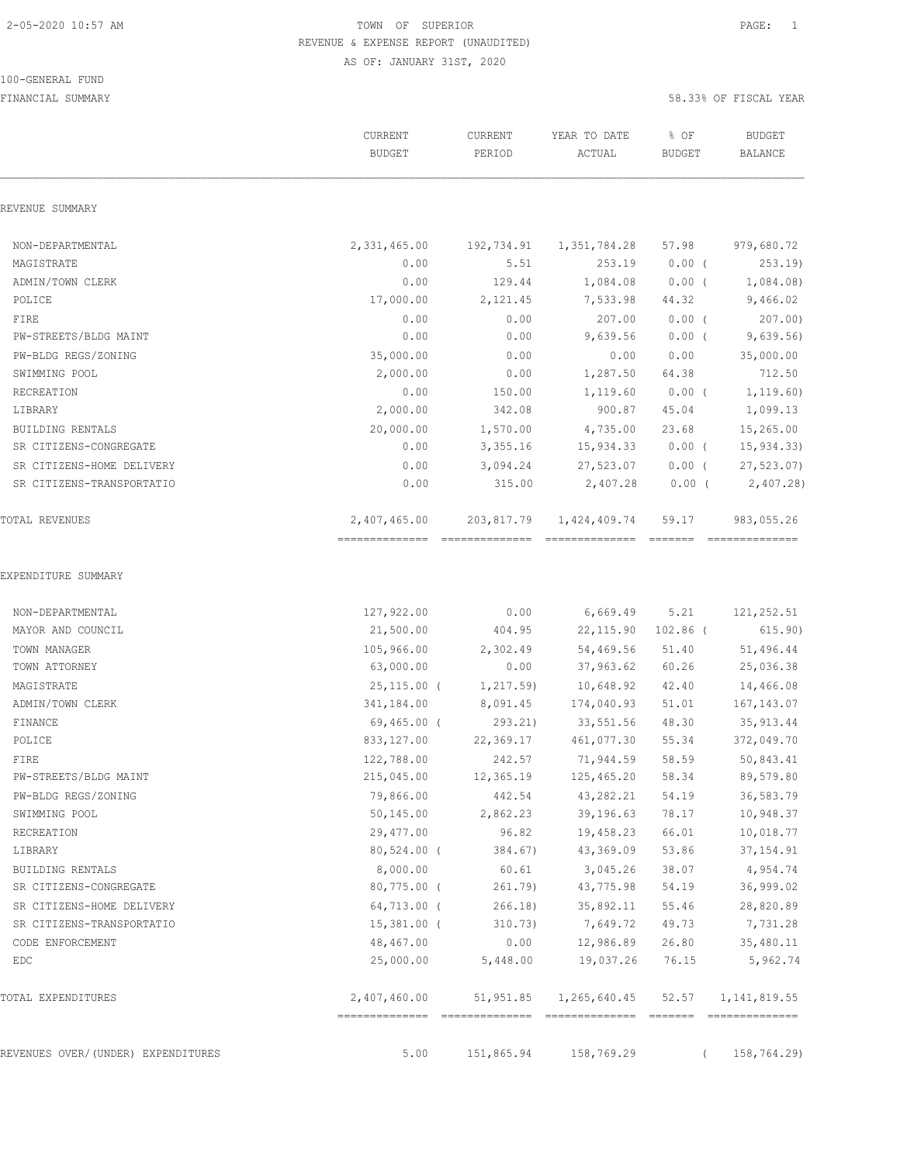### 100-GENERAL FUND

|                                    | CURRENT<br><b>BUDGET</b>                       | CURRENT<br>PERIOD | YEAR TO DATE<br>ACTUAL          | % OF<br><b>BUDGET</b> | <b>BUDGET</b><br><b>BALANCE</b> |
|------------------------------------|------------------------------------------------|-------------------|---------------------------------|-----------------------|---------------------------------|
| REVENUE SUMMARY                    |                                                |                   |                                 |                       |                                 |
| NON-DEPARTMENTAL                   | 2,331,465.00                                   | 192,734.91        | 1,351,784.28                    | 57.98                 | 979,680.72                      |
| MAGISTRATE                         | 0.00                                           | 5.51              | 253.19                          | $0.00$ (              | 253.19                          |
| ADMIN/TOWN CLERK                   | 0.00                                           | 129.44            | 1,084.08                        | $0.00$ (              | 1,084.08)                       |
| POLICE                             | 17,000.00                                      | 2,121.45          | 7,533.98                        | 44.32                 | 9,466.02                        |
| FIRE                               | 0.00                                           | 0.00              | 207.00                          | 0.00(                 | 207.00                          |
| PW-STREETS/BLDG MAINT              | 0.00                                           | 0.00              | 9,639.56                        | $0.00$ (              | 9,639.56                        |
| PW-BLDG REGS/ZONING                | 35,000.00                                      | 0.00              | 0.00                            | 0.00                  | 35,000.00                       |
| SWIMMING POOL                      | 2,000.00                                       | 0.00              | 1,287.50                        | 64.38                 | 712.50                          |
| RECREATION                         | 0.00                                           | 150.00            | 1,119.60                        | $0.00$ (              | 1, 119.60)                      |
| LIBRARY                            | 2,000.00                                       | 342.08            | 900.87                          | 45.04                 | 1,099.13                        |
| BUILDING RENTALS                   | 20,000.00                                      | 1,570.00          | 4,735.00                        | 23.68                 | 15,265.00                       |
| SR CITIZENS-CONGREGATE             | 0.00                                           | 3,355.16          | 15,934.33                       | $0.00$ (              | 15, 934.33                      |
| SR CITIZENS-HOME DELIVERY          | 0.00                                           | 3,094.24          | 27,523.07                       | $0.00$ (              | 27, 523.07                      |
| SR CITIZENS-TRANSPORTATIO          | 0.00                                           | 315.00            | 2,407.28                        | $0.00$ (              | 2,407.28                        |
| TOTAL REVENUES                     | 2,407,465.00<br>-------------- --------------- | 203,817.79        | 1,424,409.74<br>--------------- | 59.17<br>--------     | 983,055.26<br>--------------    |
| EXPENDITURE SUMMARY                |                                                |                   |                                 |                       |                                 |
| NON-DEPARTMENTAL                   | 127,922.00                                     | 0.00              | 6,669.49                        | 5.21                  | 121, 252.51                     |
| MAYOR AND COUNCIL                  | 21,500.00                                      | 404.95            | 22, 115.90                      | $102.86$ (            | 615.90)                         |
| TOWN MANAGER                       | 105,966.00                                     | 2,302.49          | 54,469.56                       | 51.40                 | 51,496.44                       |
| TOWN ATTORNEY                      | 63,000.00                                      | 0.00              | 37,963.62                       | 60.26                 | 25,036.38                       |
| MAGISTRATE                         | $25,115.00$ (                                  | 1, 217.59         | 10,648.92                       | 42.40                 | 14,466.08                       |
| ADMIN/TOWN CLERK                   | 341,184.00                                     | 8,091.45          | 174,040.93                      | 51.01                 | 167, 143.07                     |
| FINANCE                            | 69,465.00 (                                    | 293.21            | 33,551.56                       | 48.30                 | 35, 913.44                      |
| POLICE                             | 833,127.00                                     | 22,369.17         | 461,077.30                      | 55.34                 | 372,049.70                      |
| FIRE                               | 122,788.00                                     | 242.57            | 71,944.59                       | 58.59                 | 50,843.41                       |
| PW-STREETS/BLDG MAINT              | 215,045.00                                     | 12,365.19         | 125,465.20                      | 58.34                 | 89,579.80                       |
| PW-BLDG REGS/ZONING                | 79,866.00                                      | 442.54            | 43,282.21                       | 54.19                 | 36,583.79                       |
| SWIMMING POOL                      | 50,145.00                                      | 2,862.23          | 39,196.63                       | 78.17                 | 10,948.37                       |
| RECREATION                         | 29,477.00                                      | 96.82             | 19,458.23                       | 66.01                 | 10,018.77                       |
| LIBRARY                            | $80,524.00$ (                                  | 384.67)           | 43,369.09                       | 53.86                 | 37, 154.91                      |
| BUILDING RENTALS                   | 8,000.00                                       | 60.61             | 3,045.26                        | 38.07                 | 4,954.74                        |
| SR CITIZENS-CONGREGATE             | $80,775.00$ (                                  | 261.79)           | 43,775.98                       | 54.19                 | 36,999.02                       |
| SR CITIZENS-HOME DELIVERY          | 64,713.00 (                                    | $266.18$ )        | 35,892.11                       | 55.46                 | 28,820.89                       |
| SR CITIZENS-TRANSPORTATIO          | $15,381.00$ (                                  | 310.73)           | 7,649.72                        | 49.73                 | 7,731.28                        |
| CODE ENFORCEMENT                   | 48,467.00                                      | 0.00              | 12,986.89                       | 26.80                 | 35,480.11                       |
| EDC                                | 25,000.00                                      | 5,448.00          | 19,037.26                       | 76.15                 | 5,962.74                        |
| TOTAL EXPENDITURES                 | 2,407,460.00                                   |                   | 51,951.85 1,265,640.45          | 52.57                 | 1, 141, 819.55                  |
| REVENUES OVER/(UNDER) EXPENDITURES | 5.00                                           | 151,865.94        | 158,769.29                      |                       | 158,764.29)                     |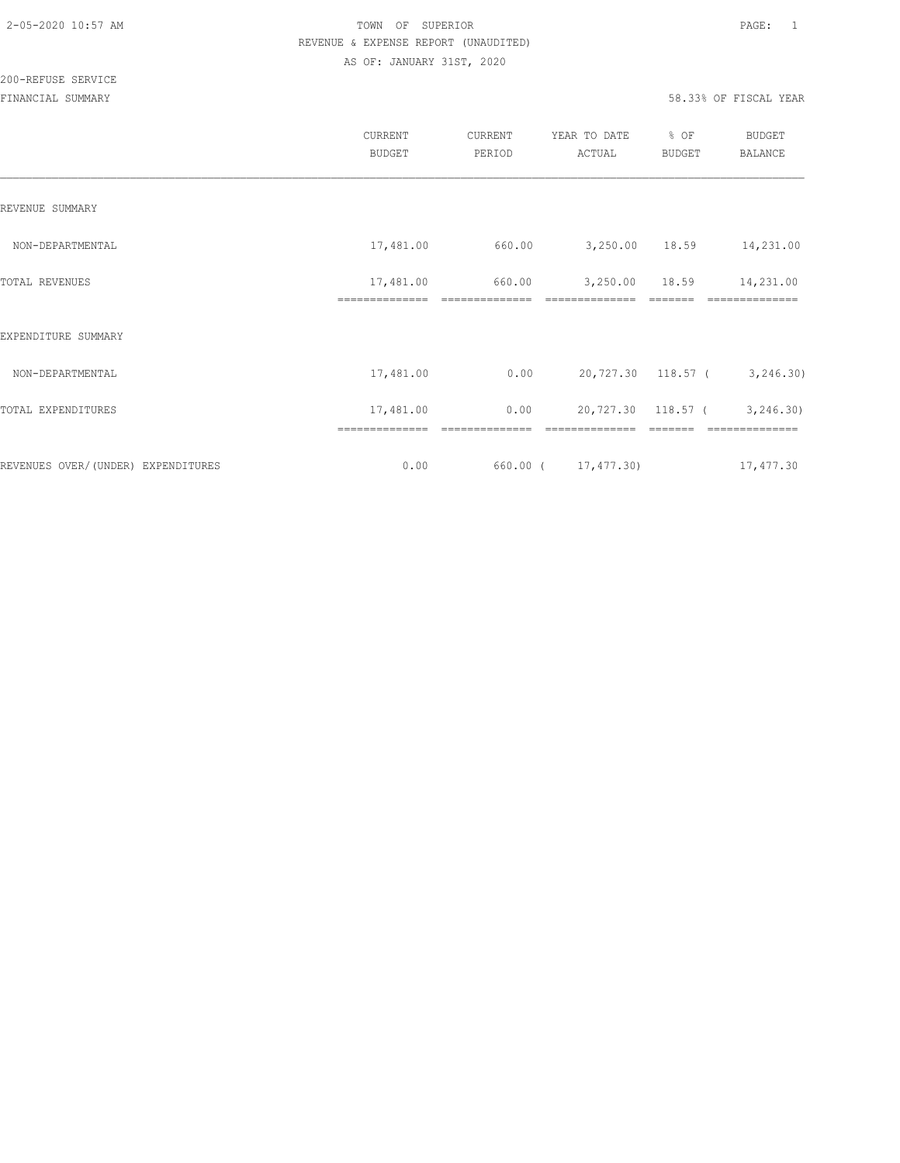|                                    | <b>CURRENT</b><br><b>BUDGET</b> | <b>CURRENT</b><br>PERIOD | YEAR TO DATE<br>ACTUAL     | % OF<br><b>BUDGET</b> | BUDGET<br><b>BALANCE</b>     |
|------------------------------------|---------------------------------|--------------------------|----------------------------|-----------------------|------------------------------|
| REVENUE SUMMARY                    |                                 |                          |                            |                       |                              |
| NON-DEPARTMENTAL                   | 17,481.00                       | 660.00                   | 3,250.00 18.59             |                       | 14,231.00                    |
| <b>TOTAL REVENUES</b>              | 17,481.00<br>==============     | 660.00<br>============== | 3,250.00<br>============== | 18.59                 | 14,231.00<br>==========      |
| EXPENDITURE SUMMARY                |                                 |                          |                            |                       |                              |
| NON-DEPARTMENTAL                   | 17,481.00                       | 0.00                     |                            |                       | 20,727.30 118.57 ( 3,246.30) |
| TOTAL EXPENDITURES                 | 17,481.00                       | 0.00                     | 20,727.30 118.57 (         |                       | 3, 246.30                    |
| REVENUES OVER/(UNDER) EXPENDITURES | 0.00                            |                          | 660.00 ( 17,477.30)        |                       | 17,477.30                    |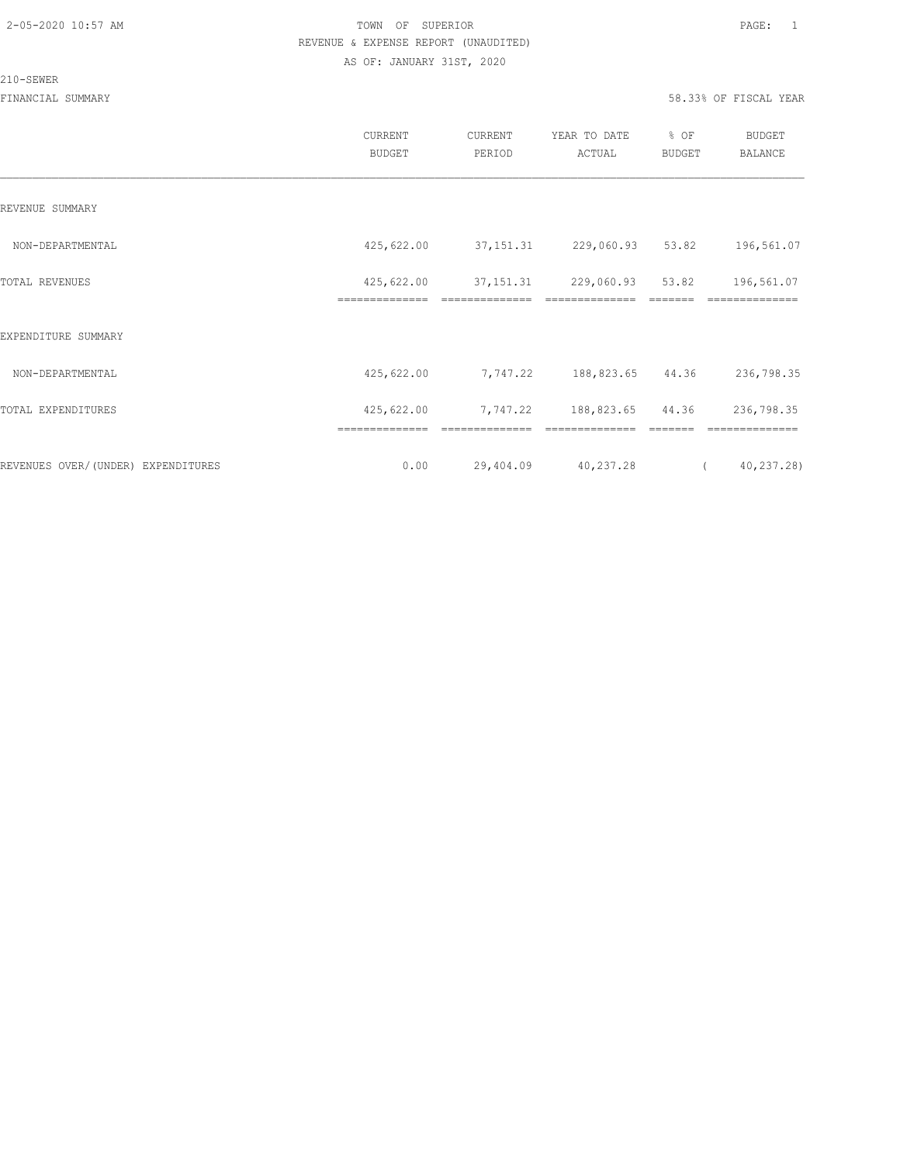#### 210-SEWER

|                                    | CURRENT<br><b>BUDGET</b> | CURRENT<br>PERIOD | YEAR TO DATE<br>ACTUAL          | % OF<br><b>BUDGET</b> | <b>BUDGET</b><br>BALANCE |
|------------------------------------|--------------------------|-------------------|---------------------------------|-----------------------|--------------------------|
| REVENUE SUMMARY                    |                          |                   |                                 |                       |                          |
| NON-DEPARTMENTAL                   | 425,622.00               |                   | 37, 151. 31 229, 060. 93 53. 82 |                       | 196,561.07               |
| TOTAL REVENUES                     | 425,622.00               |                   | 37, 151. 31 229, 060. 93 53. 82 |                       | 196,561.07               |
| EXPENDITURE SUMMARY                | ==============           | ==============    | ==============                  | =======               | ==============           |
| NON-DEPARTMENTAL                   | 425,622.00               |                   | 7,747.22 188,823.65 44.36       |                       | 236,798.35               |
| TOTAL EXPENDITURES                 | 425,622.00               |                   | 7,747.22 188,823.65 44.36       |                       | 236,798.35               |
|                                    | ==============           |                   |                                 |                       |                          |
| REVENUES OVER/(UNDER) EXPENDITURES | 0.00                     | 29,404.09         | 40,237.28                       | $\left($              | 40,237.28)               |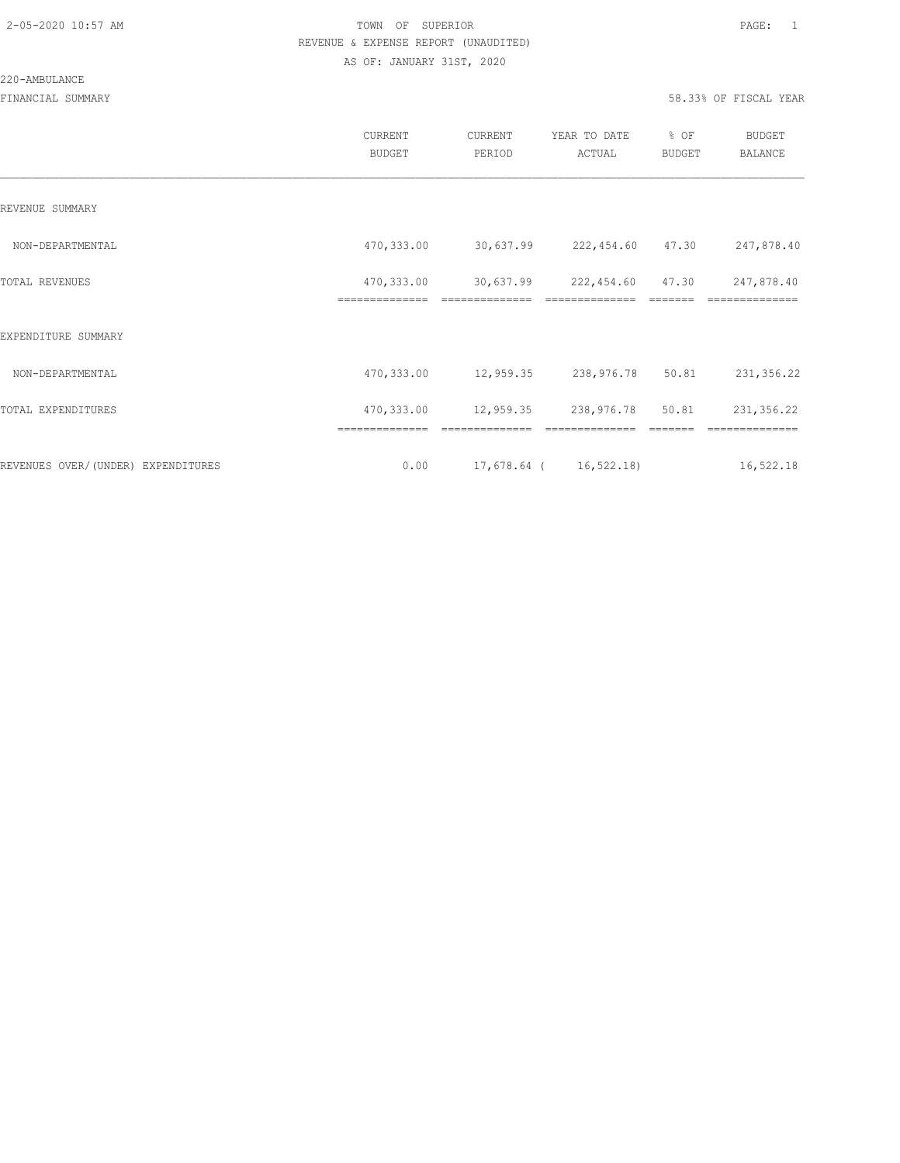#### 220-AMBULANCE

|                                    | CURRENT<br><b>BUDGET</b>     | CURRENT<br>PERIOD          | YEAR TO DATE<br>ACTUAL      | % OF<br><b>BUDGET</b> | <b>BUDGET</b><br>BALANCE |
|------------------------------------|------------------------------|----------------------------|-----------------------------|-----------------------|--------------------------|
| REVENUE SUMMARY                    |                              |                            |                             |                       |                          |
| NON-DEPARTMENTAL                   | 470,333.00                   |                            | 30,637.99 222,454.60 47.30  |                       | 247,878.40               |
| TOTAL REVENUES                     | 470,333.00<br>============== | 30,637.99                  | 222,454.60 47.30            |                       | 247,878.40               |
| EXPENDITURE SUMMARY                |                              |                            |                             |                       |                          |
| NON-DEPARTMENTAL                   | 470,333.00                   |                            | 12,959.35 238,976.78        | 50.81                 | 231,356.22               |
| TOTAL EXPENDITURES                 | 470,333.00                   | 12,959.35 238,976.78 50.81 |                             |                       | 231,356.22               |
|                                    |                              |                            |                             |                       |                          |
| REVENUES OVER/(UNDER) EXPENDITURES | 0.00                         |                            | $17,678.64$ ( $16,522.18$ ) |                       | 16,522.18                |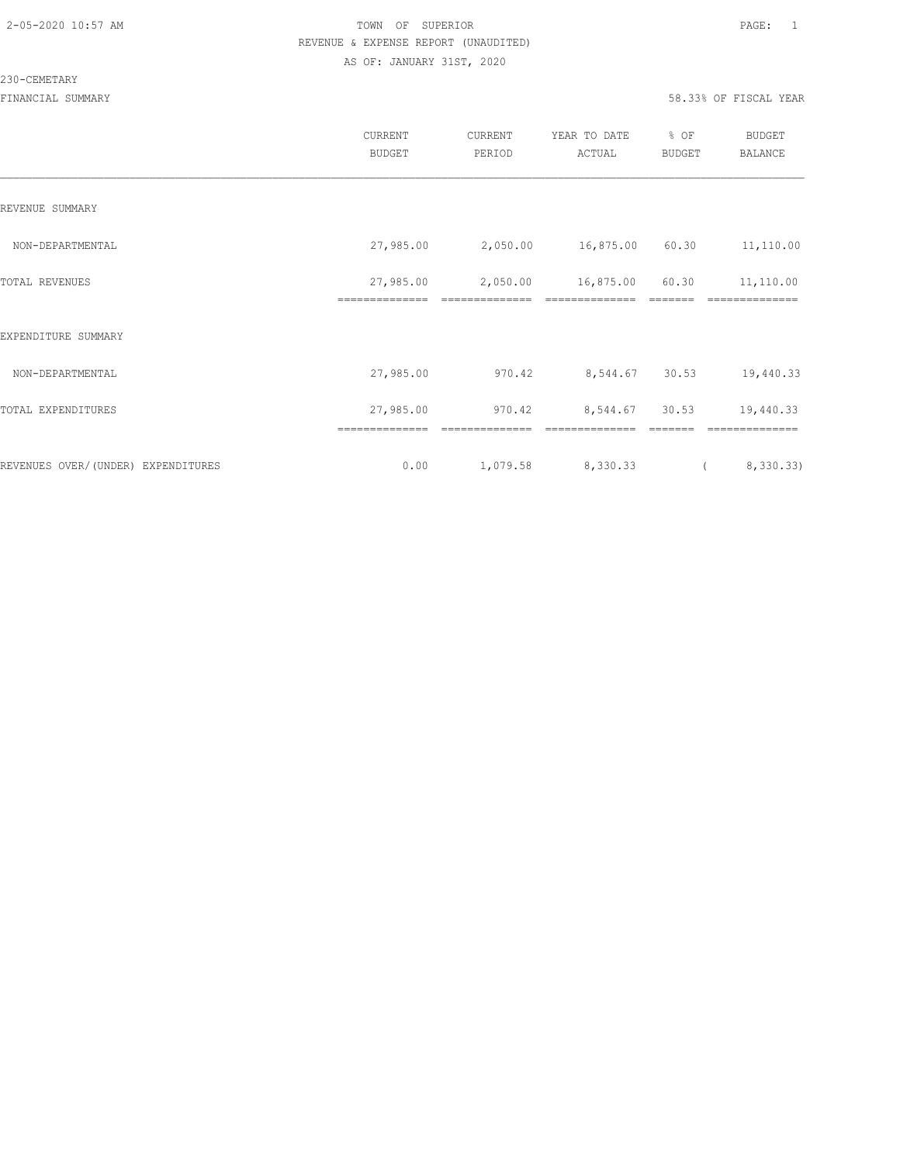#### 230-CEMETARY

|                                    | CURRENT<br><b>BUDGET</b> | CURRENT<br>PERIOD | YEAR TO DATE<br>ACTUAL | % OF<br>BUDGET | BUDGET<br><b>BALANCE</b> |
|------------------------------------|--------------------------|-------------------|------------------------|----------------|--------------------------|
| REVENUE SUMMARY                    |                          |                   |                        |                |                          |
| NON-DEPARTMENTAL                   | 27,985.00                | 2,050.00          | 16,875.00 60.30        |                | 11,110.00                |
| TOTAL REVENUES                     | 27,985.00                | 2,050.00          | 16,875.00              | 60.30          | 11,110.00                |
| EXPENDITURE SUMMARY                |                          |                   |                        |                |                          |
| NON-DEPARTMENTAL                   | 27,985.00                | 970.42            | 8,544.67 30.53         |                | 19,440.33                |
| TOTAL EXPENDITURES                 | 27,985.00                | 970.42            | 8,544.67               | 30.53          | 19,440.33                |
|                                    |                          |                   |                        |                |                          |
| REVENUES OVER/(UNDER) EXPENDITURES | 0.00                     | 1,079.58          | 8,330.33               |                | 8,330.33)                |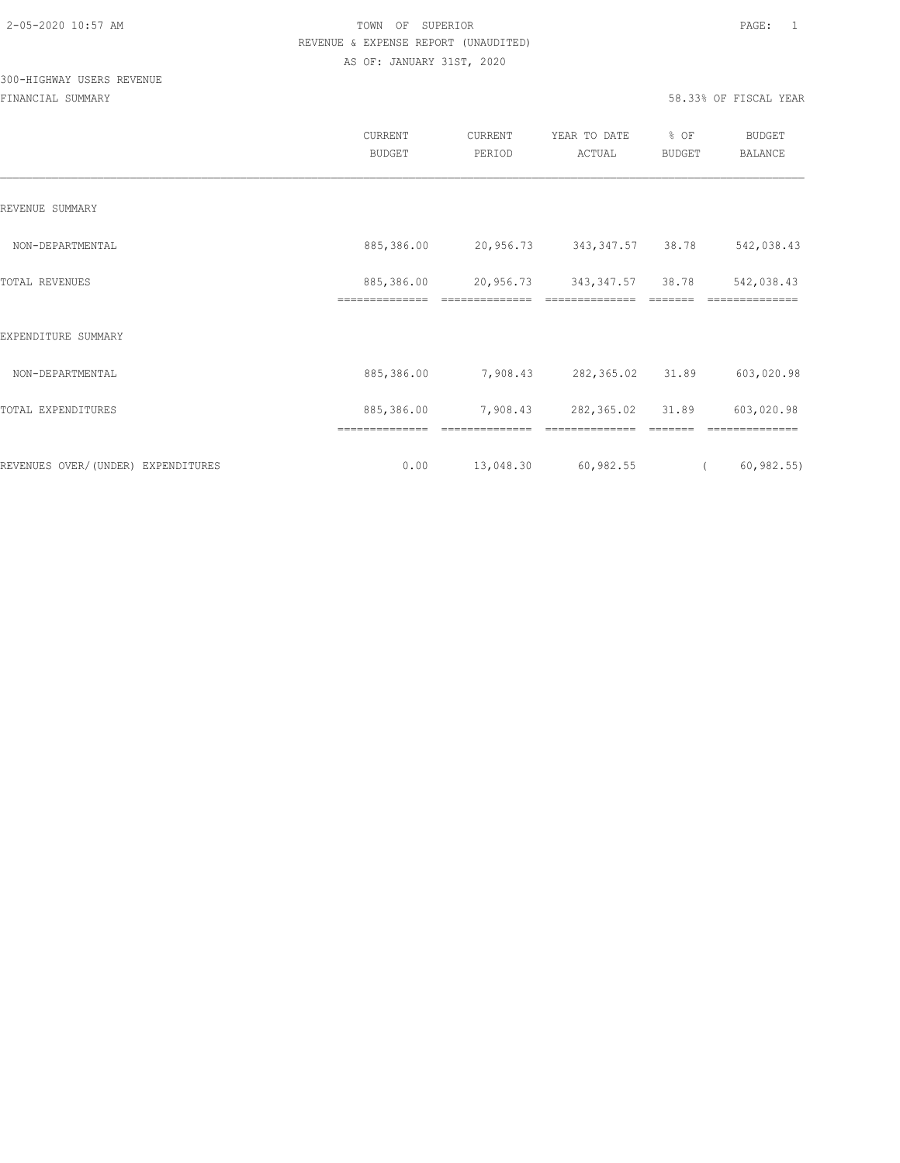# 300-HIGHWAY USERS REVENUE

|                                    | CURRENT<br><b>BUDGET</b>     | CURRENT<br>PERIOD           | YEAR TO DATE<br>ACTUAL              | % OF<br><b>BUDGET</b> | <b>BUDGET</b><br>BALANCE     |
|------------------------------------|------------------------------|-----------------------------|-------------------------------------|-----------------------|------------------------------|
| REVENUE SUMMARY                    |                              |                             |                                     |                       |                              |
| NON-DEPARTMENTAL                   | 885,386.00                   | 20,956.73                   | 343, 347.57 38.78                   |                       | 542,038.43                   |
| TOTAL REVENUES                     | 885,386.00<br>============== | 20,956.73<br>============== | 343, 347.57 38.78<br>============== |                       | 542,038.43<br>============== |
| EXPENDITURE SUMMARY                |                              |                             |                                     |                       |                              |
| NON-DEPARTMENTAL                   | 885,386.00                   | 7,908.43                    | 282,365.02                          | 31.89                 | 603,020.98                   |
| TOTAL EXPENDITURES                 | 885,386.00                   | 7,908.43                    | 282,365.02 31.89                    |                       | 603,020.98                   |
|                                    | ==============               |                             |                                     |                       |                              |
| REVENUES OVER/(UNDER) EXPENDITURES | 0.00                         | 13,048.30                   | 60,982.55                           | $\left($              | 60, 982.55                   |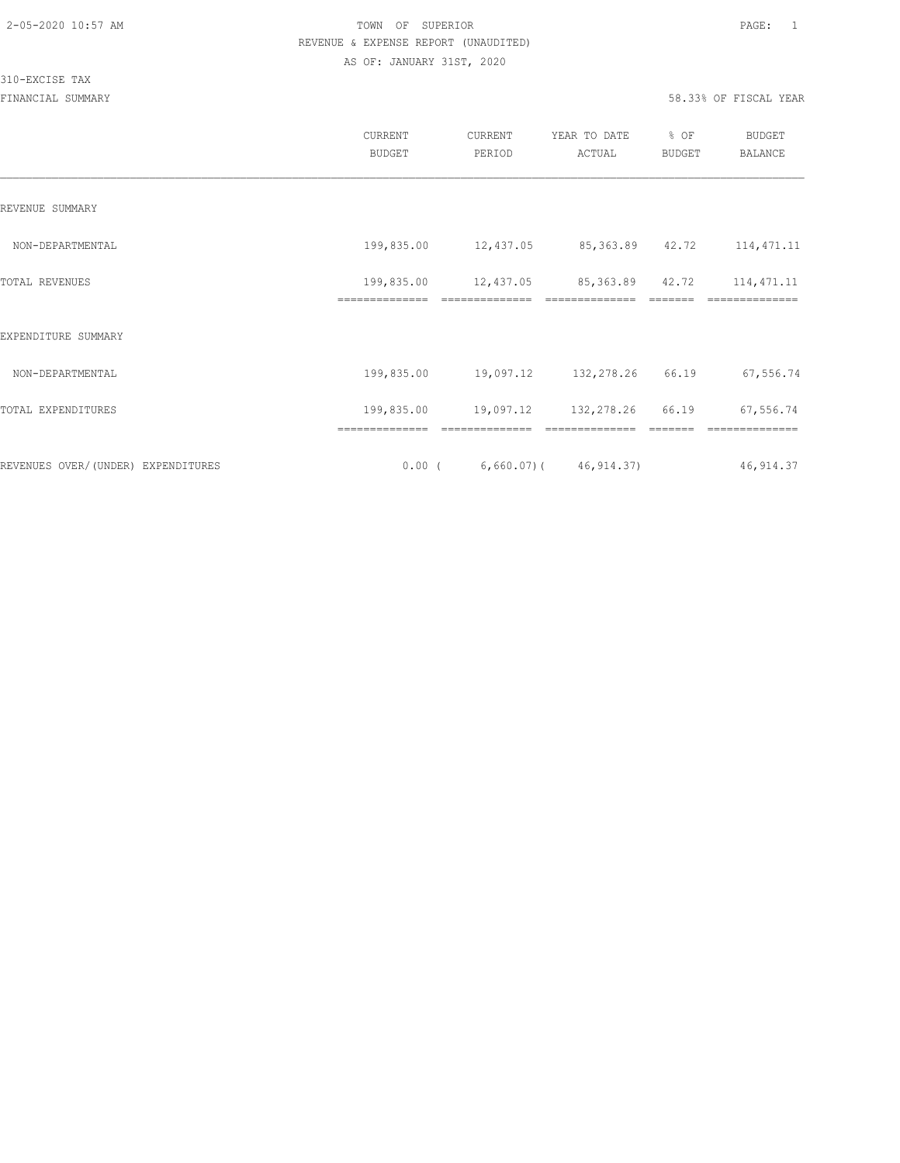## 310-EXCISE TAX

| CURRENT<br><b>BUDGET</b>     | CURRENT<br>PERIOD | YEAR TO DATE<br>ACTUAL | % OF<br>BUDGET | <b>BUDGET</b><br>BALANCE                                                                                                                        |
|------------------------------|-------------------|------------------------|----------------|-------------------------------------------------------------------------------------------------------------------------------------------------|
|                              |                   |                        |                |                                                                                                                                                 |
| 199,835.00                   |                   |                        |                | 114, 471.11                                                                                                                                     |
| 199,835.00<br>============== | ==============    | ==============         |                | 114, 471.11<br>==========                                                                                                                       |
|                              |                   |                        |                |                                                                                                                                                 |
| 199,835.00                   |                   |                        | 66.19          | 67,556.74                                                                                                                                       |
| 199,835.00                   |                   |                        |                | 67,556.74                                                                                                                                       |
|                              |                   |                        |                | 46, 914.37                                                                                                                                      |
|                              |                   |                        |                | 12,437.05 85,363.89 42.72<br>12,437.05 85,363.89 42.72<br>19,097.12 132,278.26<br>19,097.12 132,278.26 66.19<br>$0.00$ ( 6,660.07) ( 46,914.37) |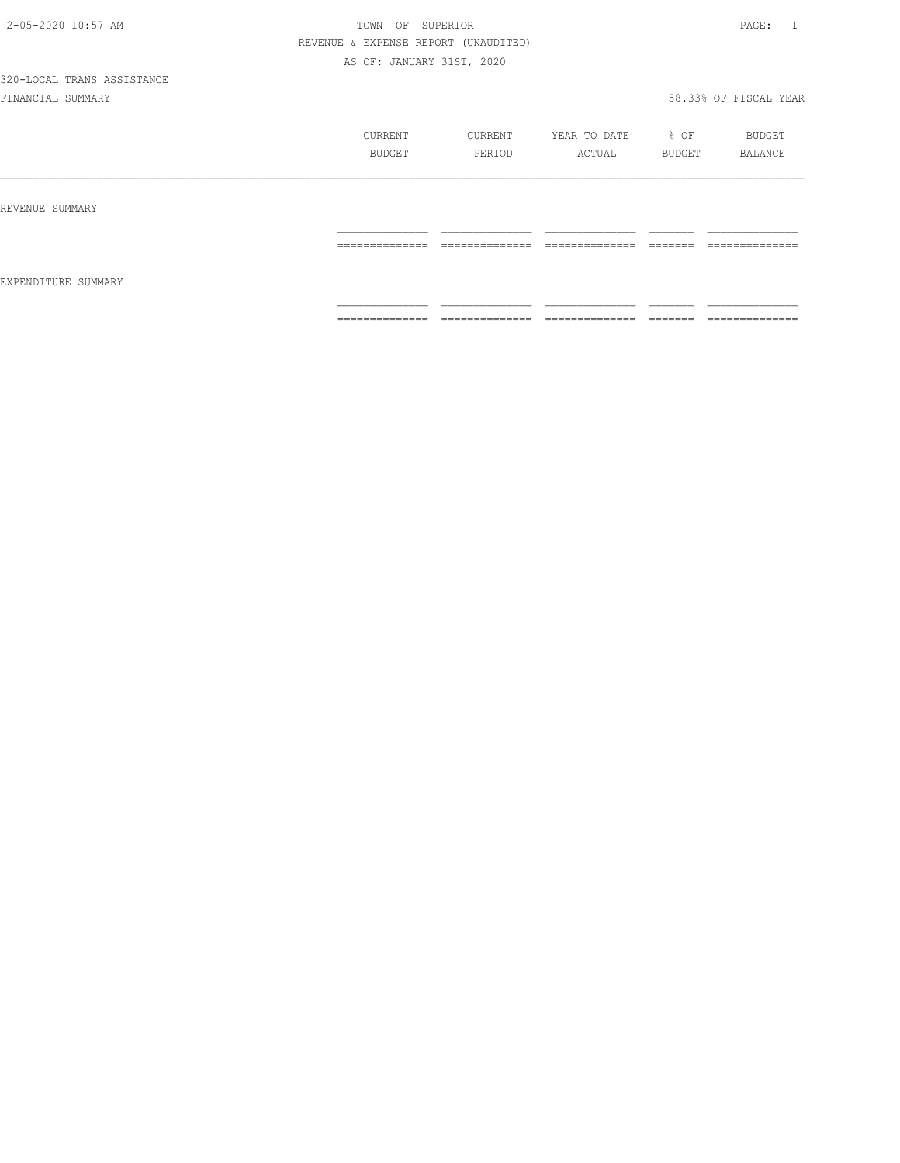|                     | CURRENT<br>BUDGET                                                                                                                                                                                                                                                                                                                                                                                                                                                                            | CURRENT<br>PERIOD                                                                                                                                                                                                                                                                                                                                                                                                                                                                            | YEAR TO DATE<br>ACTUAL | $8$ OF<br>BUDGET     | BUDGET<br>BALANCE                                                                                                                                                                                                                                                                                                                                                                                                                                                                            |
|---------------------|----------------------------------------------------------------------------------------------------------------------------------------------------------------------------------------------------------------------------------------------------------------------------------------------------------------------------------------------------------------------------------------------------------------------------------------------------------------------------------------------|----------------------------------------------------------------------------------------------------------------------------------------------------------------------------------------------------------------------------------------------------------------------------------------------------------------------------------------------------------------------------------------------------------------------------------------------------------------------------------------------|------------------------|----------------------|----------------------------------------------------------------------------------------------------------------------------------------------------------------------------------------------------------------------------------------------------------------------------------------------------------------------------------------------------------------------------------------------------------------------------------------------------------------------------------------------|
| REVENUE SUMMARY     |                                                                                                                                                                                                                                                                                                                                                                                                                                                                                              |                                                                                                                                                                                                                                                                                                                                                                                                                                                                                              |                        |                      |                                                                                                                                                                                                                                                                                                                                                                                                                                                                                              |
|                     | $\begin{array}{c} \multicolumn{2}{c} {\textbf{1}} & \multicolumn{2}{c} {\textbf{2}} & \multicolumn{2}{c} {\textbf{3}} & \multicolumn{2}{c} {\textbf{4}} \\ \multicolumn{2}{c} {\textbf{5}} & \multicolumn{2}{c} {\textbf{6}} & \multicolumn{2}{c} {\textbf{7}} & \multicolumn{2}{c} {\textbf{8}} & \multicolumn{2}{c} {\textbf{9}} \\ \multicolumn{2}{c} {\textbf{1}} & \multicolumn{2}{c} {\textbf{1}} & \multicolumn{2}{c} {\textbf{1}} & \multicolumn{2}{c} {\textbf{1}} & \multicolumn{$ | $\begin{array}{c} \multicolumn{2}{c} {\textbf{1}} & \multicolumn{2}{c} {\textbf{2}} & \multicolumn{2}{c} {\textbf{3}} & \multicolumn{2}{c} {\textbf{4}} \\ \multicolumn{2}{c} {\textbf{5}} & \multicolumn{2}{c} {\textbf{6}} & \multicolumn{2}{c} {\textbf{7}} & \multicolumn{2}{c} {\textbf{8}} & \multicolumn{2}{c} {\textbf{9}} \\ \multicolumn{2}{c} {\textbf{1}} & \multicolumn{2}{c} {\textbf{1}} & \multicolumn{2}{c} {\textbf{1}} & \multicolumn{2}{c} {\textbf{1}} & \multicolumn{$ | ==============         |                      | $\begin{array}{c} \multicolumn{2}{c} {\textbf{1}} & \multicolumn{2}{c} {\textbf{2}} & \multicolumn{2}{c} {\textbf{3}} & \multicolumn{2}{c} {\textbf{4}} \\ \multicolumn{2}{c} {\textbf{2}} & \multicolumn{2}{c} {\textbf{3}} & \multicolumn{2}{c} {\textbf{4}} & \multicolumn{2}{c} {\textbf{5}} & \multicolumn{2}{c} {\textbf{6}} \\ \multicolumn{2}{c} {\textbf{4}} & \multicolumn{2}{c} {\textbf{5}} & \multicolumn{2}{c} {\textbf{6}} & \multicolumn{2}{c} {\textbf{6}} & \multicolumn{$ |
| EXPENDITURE SUMMARY |                                                                                                                                                                                                                                                                                                                                                                                                                                                                                              |                                                                                                                                                                                                                                                                                                                                                                                                                                                                                              |                        |                      |                                                                                                                                                                                                                                                                                                                                                                                                                                                                                              |
|                     | $\begin{array}{cccccccccc} \multicolumn{2}{c}{} & \multicolumn{2}{c}{} & \multicolumn{2}{c}{} & \multicolumn{2}{c}{} & \multicolumn{2}{c}{} & \multicolumn{2}{c}{} & \multicolumn{2}{c}{} & \multicolumn{2}{c}{} & \multicolumn{2}{c}{} & \multicolumn{2}{c}{} & \multicolumn{2}{c}{} & \multicolumn{2}{c}{} & \multicolumn{2}{c}{} & \multicolumn{2}{c}{} & \multicolumn{2}{c}{} & \multicolumn{2}{c}{} & \multicolumn{2}{c}{} & \multicolumn{2}{c}{} & \multicolumn{2}{c}{} & \mult$       | $\begin{array}{cccccccccc} \multicolumn{2}{c}{} & \multicolumn{2}{c}{} & \multicolumn{2}{c}{} & \multicolumn{2}{c}{} & \multicolumn{2}{c}{} & \multicolumn{2}{c}{} & \multicolumn{2}{c}{} & \multicolumn{2}{c}{} & \multicolumn{2}{c}{} & \multicolumn{2}{c}{} & \multicolumn{2}{c}{} & \multicolumn{2}{c}{} & \multicolumn{2}{c}{} & \multicolumn{2}{c}{} & \multicolumn{2}{c}{} & \multicolumn{2}{c}{} & \multicolumn{2}{c}{} & \multicolumn{2}{c}{} & \multicolumn{2}{c}{} & \mult$       | ==============         | --------<br>________ | $\begin{array}{c} \multicolumn{2}{c} {\textbf{1}} & \multicolumn{2}{c} {\textbf{2}} & \multicolumn{2}{c} {\textbf{3}} & \multicolumn{2}{c} {\textbf{4}} \\ \multicolumn{2}{c} {\textbf{2}} & \multicolumn{2}{c} {\textbf{3}} & \multicolumn{2}{c} {\textbf{4}} & \multicolumn{2}{c} {\textbf{5}} & \multicolumn{2}{c} {\textbf{6}} \\ \multicolumn{2}{c} {\textbf{5}} & \multicolumn{2}{c} {\textbf{6}} & \multicolumn{2}{c} {\textbf{7}} & \multicolumn{2}{c} {\textbf{8}} & \multicolumn{$ |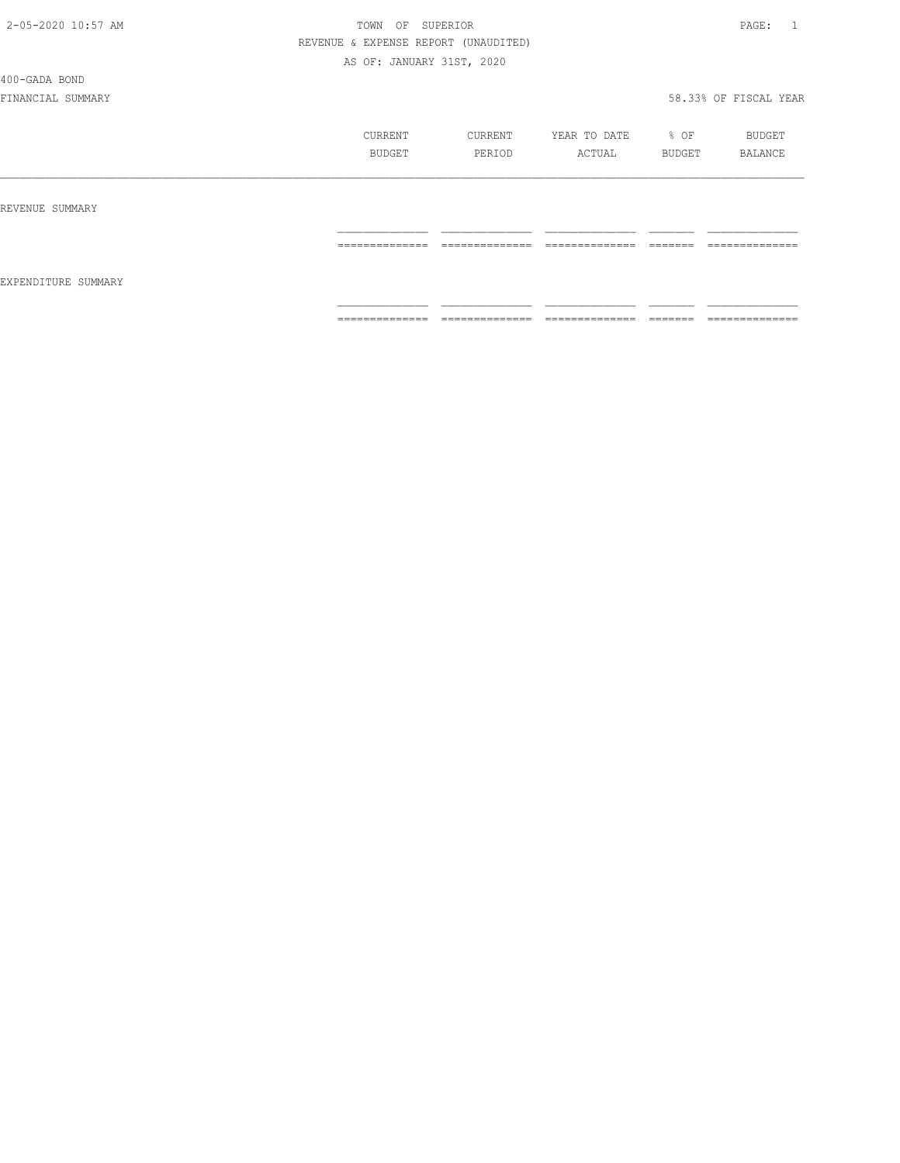#### 400-GADA BOND

|                     | CURRENT<br>BUDGET | CURRENT<br>PERIOD | YEAR TO DATE<br>ACTUAL | % OF<br>BUDGET | BUDGET<br>BALANCE |
|---------------------|-------------------|-------------------|------------------------|----------------|-------------------|
| REVENUE SUMMARY     |                   |                   |                        |                |                   |
| EXPENDITURE SUMMARY | ==============    | ==============    | ==============         | <b>COOCCOO</b> | ==============    |
|                     | ==============    | ==============    | ==============         |                | ==============    |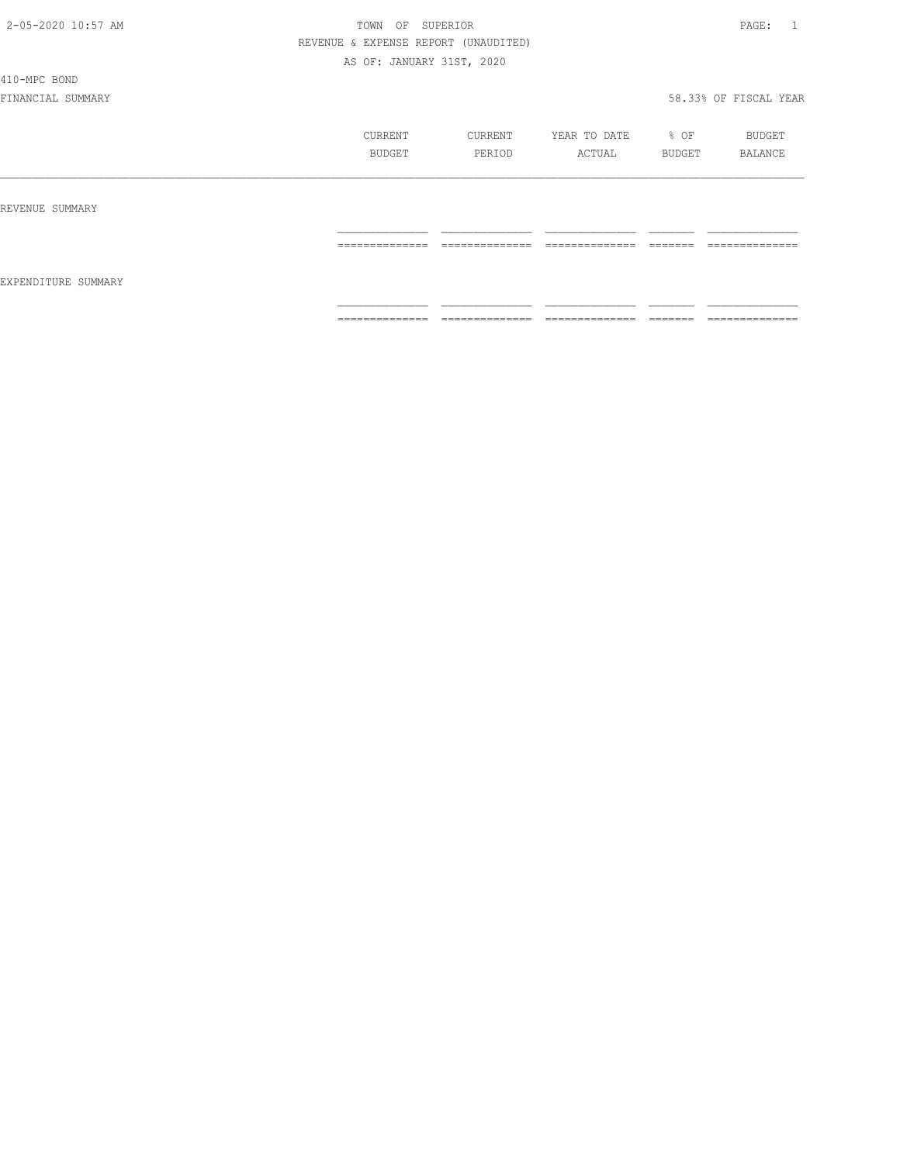#### 410-MPC BOND

|                     | CURRENT<br>BUDGET                                                                                                                                                                                                                                                                                                                                                                                                                                                                      | CURRENT<br>PERIOD                                                                                                                                                                                                                                                                                                                                                                                                                                                                      | YEAR TO DATE<br>ACTUAL | % OF<br>BUDGET | BUDGET<br>BALANCE                                                                                                                                                                                                                                                                                                                                                                                                                                                                            |
|---------------------|----------------------------------------------------------------------------------------------------------------------------------------------------------------------------------------------------------------------------------------------------------------------------------------------------------------------------------------------------------------------------------------------------------------------------------------------------------------------------------------|----------------------------------------------------------------------------------------------------------------------------------------------------------------------------------------------------------------------------------------------------------------------------------------------------------------------------------------------------------------------------------------------------------------------------------------------------------------------------------------|------------------------|----------------|----------------------------------------------------------------------------------------------------------------------------------------------------------------------------------------------------------------------------------------------------------------------------------------------------------------------------------------------------------------------------------------------------------------------------------------------------------------------------------------------|
| REVENUE SUMMARY     |                                                                                                                                                                                                                                                                                                                                                                                                                                                                                        |                                                                                                                                                                                                                                                                                                                                                                                                                                                                                        |                        |                |                                                                                                                                                                                                                                                                                                                                                                                                                                                                                              |
| EXPENDITURE SUMMARY | ==============                                                                                                                                                                                                                                                                                                                                                                                                                                                                         | ______________                                                                                                                                                                                                                                                                                                                                                                                                                                                                         | ==============         | --------       | ______________<br>======                                                                                                                                                                                                                                                                                                                                                                                                                                                                     |
|                     | $\begin{array}{cccccccccc} \multicolumn{2}{c}{} & \multicolumn{2}{c}{} & \multicolumn{2}{c}{} & \multicolumn{2}{c}{} & \multicolumn{2}{c}{} & \multicolumn{2}{c}{} & \multicolumn{2}{c}{} & \multicolumn{2}{c}{} & \multicolumn{2}{c}{} & \multicolumn{2}{c}{} & \multicolumn{2}{c}{} & \multicolumn{2}{c}{} & \multicolumn{2}{c}{} & \multicolumn{2}{c}{} & \multicolumn{2}{c}{} & \multicolumn{2}{c}{} & \multicolumn{2}{c}{} & \multicolumn{2}{c}{} & \multicolumn{2}{c}{} & \mult$ | $\begin{array}{cccccccccc} \multicolumn{2}{c}{} & \multicolumn{2}{c}{} & \multicolumn{2}{c}{} & \multicolumn{2}{c}{} & \multicolumn{2}{c}{} & \multicolumn{2}{c}{} & \multicolumn{2}{c}{} & \multicolumn{2}{c}{} & \multicolumn{2}{c}{} & \multicolumn{2}{c}{} & \multicolumn{2}{c}{} & \multicolumn{2}{c}{} & \multicolumn{2}{c}{} & \multicolumn{2}{c}{} & \multicolumn{2}{c}{} & \multicolumn{2}{c}{} & \multicolumn{2}{c}{} & \multicolumn{2}{c}{} & \multicolumn{2}{c}{} & \mult$ | ==============         |                | $\begin{array}{c} \multicolumn{2}{c} {\textbf{1}} & \multicolumn{2}{c} {\textbf{2}} & \multicolumn{2}{c} {\textbf{3}} & \multicolumn{2}{c} {\textbf{4}} \\ \multicolumn{2}{c} {\textbf{5}} & \multicolumn{2}{c} {\textbf{6}} & \multicolumn{2}{c} {\textbf{7}} & \multicolumn{2}{c} {\textbf{8}} & \multicolumn{2}{c} {\textbf{9}} \\ \multicolumn{2}{c} {\textbf{1}} & \multicolumn{2}{c} {\textbf{1}} & \multicolumn{2}{c} {\textbf{1}} & \multicolumn{2}{c} {\textbf{1}} & \multicolumn{$ |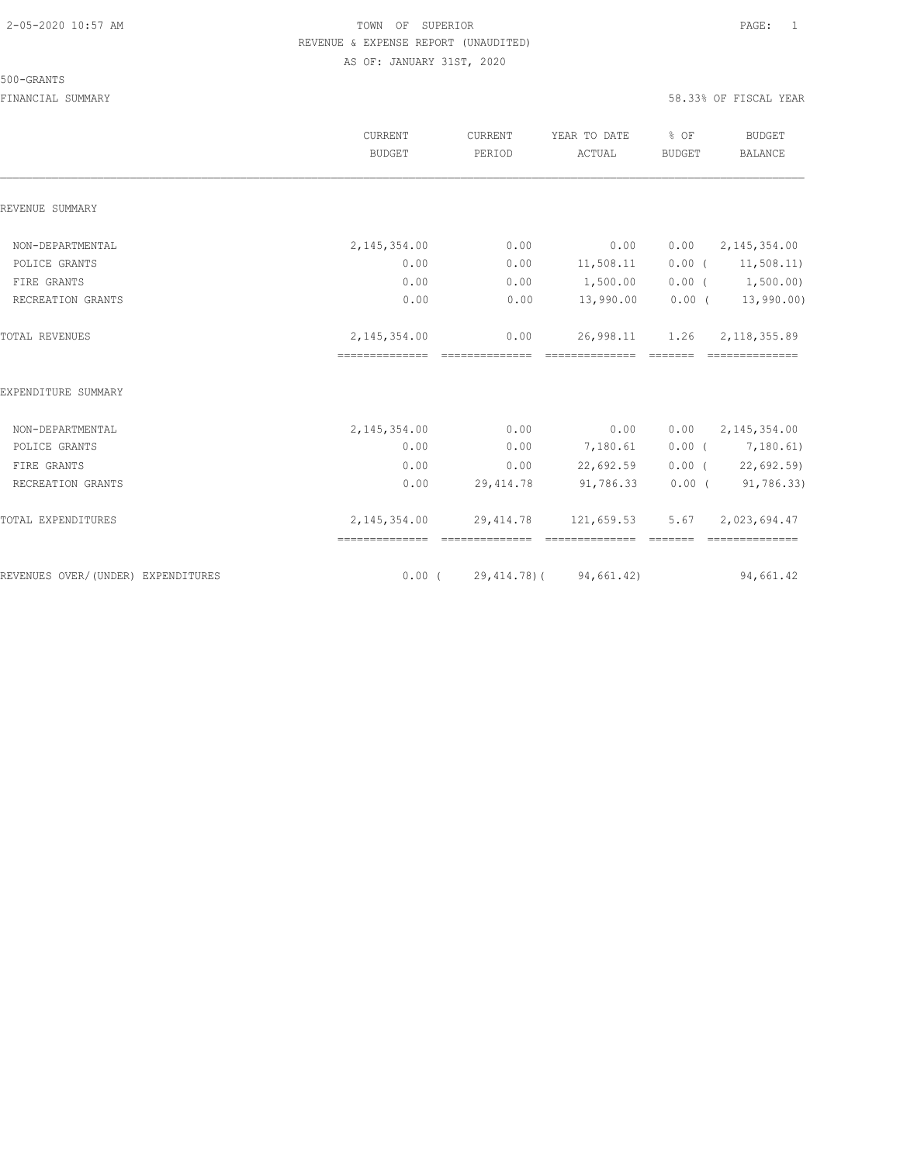#### 500-GRANTS

|                                    | <b>CURRENT</b><br><b>BUDGET</b>                   | CURRENT<br>PERIOD | YEAR TO DATE<br>ACTUAL                                                                                                                                                                                                                                                                                                                                                                                                                                                                              | % OF<br><b>BUDGET</b> | <b>BUDGET</b><br><b>BALANCE</b>  |
|------------------------------------|---------------------------------------------------|-------------------|-----------------------------------------------------------------------------------------------------------------------------------------------------------------------------------------------------------------------------------------------------------------------------------------------------------------------------------------------------------------------------------------------------------------------------------------------------------------------------------------------------|-----------------------|----------------------------------|
| REVENUE SUMMARY                    |                                                   |                   |                                                                                                                                                                                                                                                                                                                                                                                                                                                                                                     |                       |                                  |
| NON-DEPARTMENTAL                   | 2, 145, 354.00                                    | 0.00              | 0.00                                                                                                                                                                                                                                                                                                                                                                                                                                                                                                | 0.00                  | 2, 145, 354.00                   |
| POLICE GRANTS                      | 0.00                                              | 0.00              | 11,508.11                                                                                                                                                                                                                                                                                                                                                                                                                                                                                           |                       | $0.00$ ( $11,508.11$ )           |
| FIRE GRANTS                        | 0.00                                              | 0.00              | 1,500.00                                                                                                                                                                                                                                                                                                                                                                                                                                                                                            |                       | $0.00$ ( $1,500.00$ )            |
| RECREATION GRANTS                  | 0.00                                              | 0.00              | 13,990.00                                                                                                                                                                                                                                                                                                                                                                                                                                                                                           |                       | $0.00$ ( 13,990.00)              |
| <b>TOTAL REVENUES</b>              | 2, 145, 354.00<br>--------------- --------------- | 0.00              | 26,998.11<br>$\begin{array}{cccccccccccccc} \multicolumn{2}{c}{} & \multicolumn{2}{c}{} & \multicolumn{2}{c}{} & \multicolumn{2}{c}{} & \multicolumn{2}{c}{} & \multicolumn{2}{c}{} & \multicolumn{2}{c}{} & \multicolumn{2}{c}{} & \multicolumn{2}{c}{} & \multicolumn{2}{c}{} & \multicolumn{2}{c}{} & \multicolumn{2}{c}{} & \multicolumn{2}{c}{} & \multicolumn{2}{c}{} & \multicolumn{2}{c}{} & \multicolumn{2}{c}{} & \multicolumn{2}{c}{} & \multicolumn{2}{c}{} & \multicolumn{2}{c}{} & \$ | 1.26                  | 2, 118, 355.89<br>============== |
| EXPENDITURE SUMMARY                |                                                   |                   |                                                                                                                                                                                                                                                                                                                                                                                                                                                                                                     |                       |                                  |
| NON-DEPARTMENTAL                   | 2, 145, 354.00                                    | 0.00              | 0.00                                                                                                                                                                                                                                                                                                                                                                                                                                                                                                | 0.00                  | 2,145,354.00                     |
| POLICE GRANTS                      | 0.00                                              | 0.00              | 7,180.61                                                                                                                                                                                                                                                                                                                                                                                                                                                                                            |                       | $0.00$ ( $7,180.61$ )            |
| FIRE GRANTS                        | 0.00                                              | 0.00              | 22,692.59                                                                                                                                                                                                                                                                                                                                                                                                                                                                                           |                       | 0.00(22,692.59)                  |
| RECREATION GRANTS                  | 0.00                                              | 29, 414.78        | 91,786.33                                                                                                                                                                                                                                                                                                                                                                                                                                                                                           |                       | 0.00(91,786.33)                  |
| TOTAL EXPENDITURES                 | 2,145,354.00<br>--------------- ---------------   | 29, 414.78        | 121,659.53<br>===============                                                                                                                                                                                                                                                                                                                                                                                                                                                                       | 5.67                  | 2,023,694.47<br>---------------  |
| REVENUES OVER/(UNDER) EXPENDITURES | $0.00$ (                                          | 29,414.78)(       | 94,661.42)                                                                                                                                                                                                                                                                                                                                                                                                                                                                                          |                       | 94,661.42                        |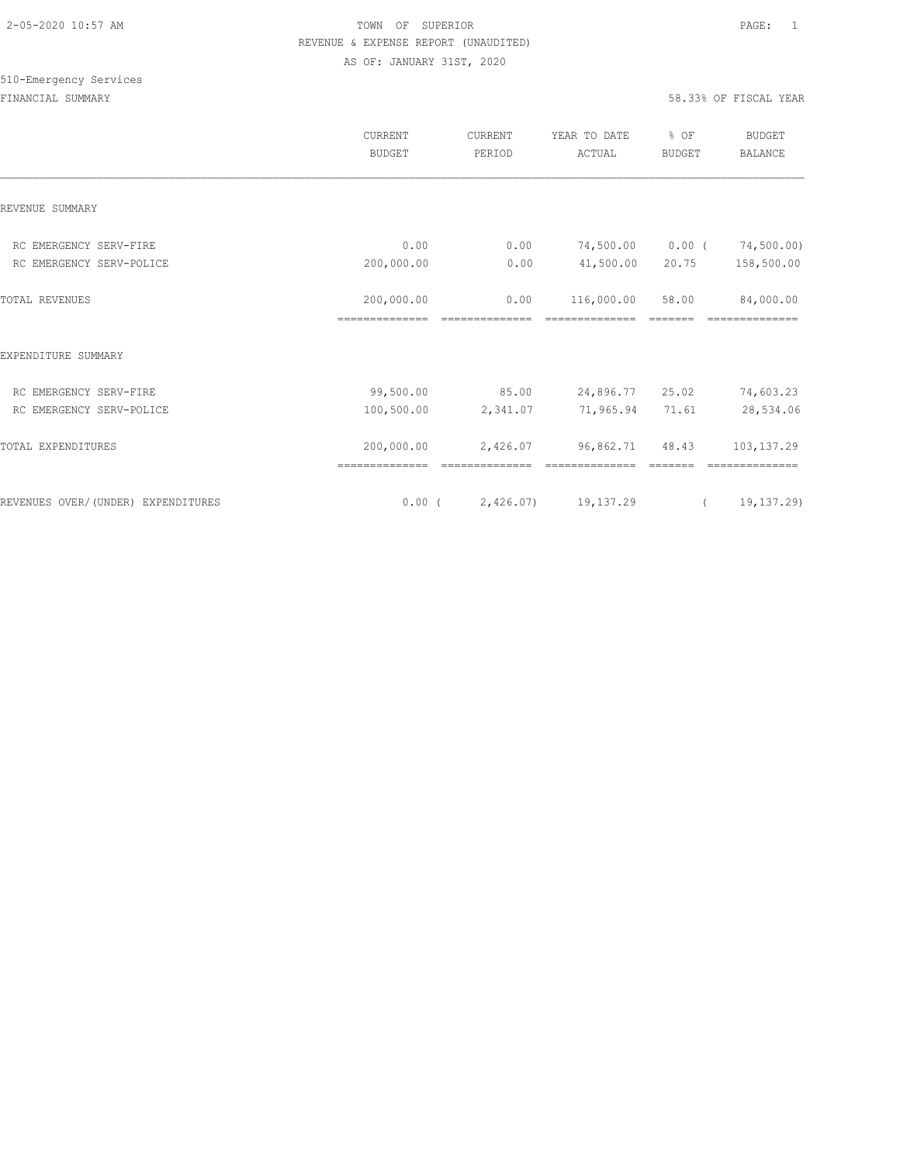|                                    | CURRENT<br><b>BUDGET</b>     | CURRENT<br>PERIOD | YEAR TO DATE<br>ACTUAL | % OF<br><b>BUDGET</b> | <b>BUDGET</b><br><b>BALANCE</b> |
|------------------------------------|------------------------------|-------------------|------------------------|-----------------------|---------------------------------|
| REVENUE SUMMARY                    |                              |                   |                        |                       |                                 |
| RC EMERGENCY SERV-FIRE             | 0.00                         | 0.00              | 74,500.00              | 0.00(                 | 74,500.00)                      |
| RC EMERGENCY SERV-POLICE           | 200,000.00                   | 0.00              | 41,500.00              | 20.75                 | 158,500.00                      |
| <b>TOTAL REVENUES</b>              | 200,000.00<br>============== | 0.00              | 116,000.00             | 58.00                 | 84,000.00                       |
| EXPENDITURE SUMMARY                |                              |                   |                        |                       |                                 |
| RC EMERGENCY SERV-FIRE             | 99,500.00                    | 85.00             | 24,896.77 25.02        |                       | 74,603.23                       |
| RC EMERGENCY SERV-POLICE           | 100,500.00                   | 2,341.07          | 71,965.94              | 71.61                 | 28,534.06                       |
| TOTAL EXPENDITURES                 | 200,000.00<br>============== | 2,426.07          | 96,862.71              | 48.43                 | 103, 137.29                     |
| REVENUES OVER/(UNDER) EXPENDITURES | $0.00$ (                     | 2,426.07)         | 19,137.29              | $\left($              | 19,137.29)                      |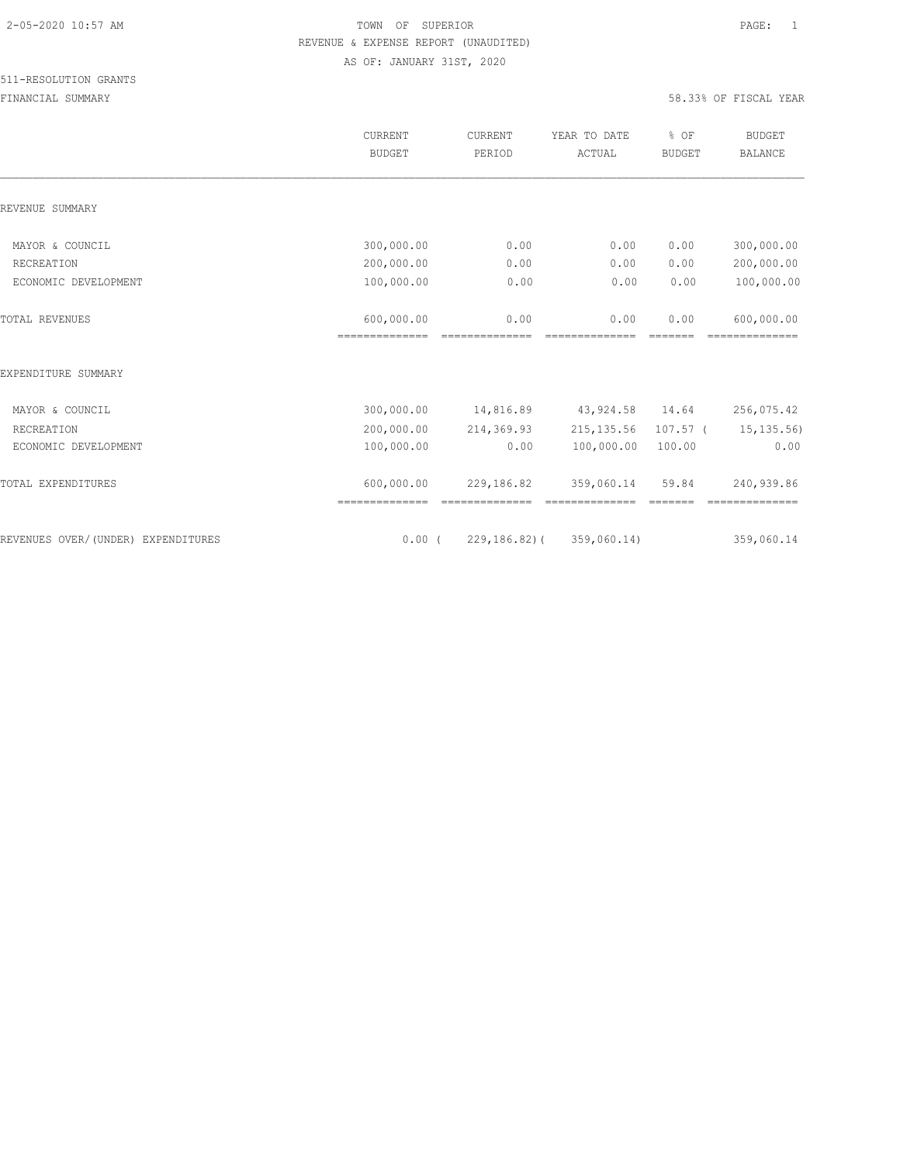|                                    | <b>CURRENT</b><br><b>BUDGET</b> | CURRENT<br>PERIOD                                                                                                                                                                                                                                                                                                                                                                                                                                                                                          | YEAR TO DATE<br>ACTUAL                                                                                                                                                                                                                                                                                                                                                                                                                                                                               | % OF<br><b>BUDGET</b>            | <b>BUDGET</b><br><b>BALANCE</b> |
|------------------------------------|---------------------------------|------------------------------------------------------------------------------------------------------------------------------------------------------------------------------------------------------------------------------------------------------------------------------------------------------------------------------------------------------------------------------------------------------------------------------------------------------------------------------------------------------------|------------------------------------------------------------------------------------------------------------------------------------------------------------------------------------------------------------------------------------------------------------------------------------------------------------------------------------------------------------------------------------------------------------------------------------------------------------------------------------------------------|----------------------------------|---------------------------------|
| REVENUE SUMMARY                    |                                 |                                                                                                                                                                                                                                                                                                                                                                                                                                                                                                            |                                                                                                                                                                                                                                                                                                                                                                                                                                                                                                      |                                  |                                 |
| MAYOR & COUNCIL                    | 300,000.00                      | 0.00                                                                                                                                                                                                                                                                                                                                                                                                                                                                                                       | 0.00                                                                                                                                                                                                                                                                                                                                                                                                                                                                                                 | 0.00                             | 300,000.00                      |
| RECREATION                         | 200,000.00                      | 0.00                                                                                                                                                                                                                                                                                                                                                                                                                                                                                                       | 0.00                                                                                                                                                                                                                                                                                                                                                                                                                                                                                                 | 0.00                             | 200,000.00                      |
| ECONOMIC DEVELOPMENT               | 100,000.00                      | 0.00                                                                                                                                                                                                                                                                                                                                                                                                                                                                                                       | 0.00                                                                                                                                                                                                                                                                                                                                                                                                                                                                                                 | 0.00                             | 100,000.00                      |
| <b>TOTAL REVENUES</b>              | 600,000.00<br>==============    | 0.00<br>==============                                                                                                                                                                                                                                                                                                                                                                                                                                                                                     | 0.00<br>==============                                                                                                                                                                                                                                                                                                                                                                                                                                                                               | 0.00                             | 600,000.00<br>==============    |
| EXPENDITURE SUMMARY                |                                 |                                                                                                                                                                                                                                                                                                                                                                                                                                                                                                            |                                                                                                                                                                                                                                                                                                                                                                                                                                                                                                      |                                  |                                 |
| MAYOR & COUNCIL                    | 300,000.00                      | 14,816.89                                                                                                                                                                                                                                                                                                                                                                                                                                                                                                  | 43,924.58 14.64                                                                                                                                                                                                                                                                                                                                                                                                                                                                                      |                                  | 256,075.42                      |
| RECREATION                         | 200,000.00                      | 214,369.93                                                                                                                                                                                                                                                                                                                                                                                                                                                                                                 | 215, 135.56                                                                                                                                                                                                                                                                                                                                                                                                                                                                                          | $107.57$ (                       | 15, 135.56                      |
| ECONOMIC DEVELOPMENT               | 100,000.00                      | 0.00                                                                                                                                                                                                                                                                                                                                                                                                                                                                                                       | 100,000.00                                                                                                                                                                                                                                                                                                                                                                                                                                                                                           | 100.00                           | 0.00                            |
| TOTAL EXPENDITURES                 | 600,000.00<br>==============    | 229,186.82<br>$\begin{array}{c} \multicolumn{2}{c} {\textbf{1}} & \multicolumn{2}{c} {\textbf{2}} & \multicolumn{2}{c} {\textbf{3}} & \multicolumn{2}{c} {\textbf{4}} \\ \multicolumn{2}{c} {\textbf{5}} & \multicolumn{2}{c} {\textbf{6}} & \multicolumn{2}{c} {\textbf{7}} & \multicolumn{2}{c} {\textbf{8}} & \multicolumn{2}{c} {\textbf{9}} \\ \multicolumn{2}{c} {\textbf{6}} & \multicolumn{2}{c} {\textbf{7}} & \multicolumn{2}{c} {\textbf{8}} & \multicolumn{2}{c} {\textbf{9}} & \multicolumn{$ | 359,060.14<br>$\begin{array}{cccccccccc} \multicolumn{2}{c}{} & \multicolumn{2}{c}{} & \multicolumn{2}{c}{} & \multicolumn{2}{c}{} & \multicolumn{2}{c}{} & \multicolumn{2}{c}{} & \multicolumn{2}{c}{} & \multicolumn{2}{c}{} & \multicolumn{2}{c}{} & \multicolumn{2}{c}{} & \multicolumn{2}{c}{} & \multicolumn{2}{c}{} & \multicolumn{2}{c}{} & \multicolumn{2}{c}{} & \multicolumn{2}{c}{} & \multicolumn{2}{c}{} & \multicolumn{2}{c}{} & \multicolumn{2}{c}{} & \multicolumn{2}{c}{} & \mult$ | 59.84<br>$=$ $=$ $=$ $=$ $=$ $=$ | 240,939.86<br>==============    |
| REVENUES OVER/(UNDER) EXPENDITURES | $0.00$ (                        |                                                                                                                                                                                                                                                                                                                                                                                                                                                                                                            | 229, 186, 82) ( 359, 060, 14)                                                                                                                                                                                                                                                                                                                                                                                                                                                                        |                                  | 359,060.14                      |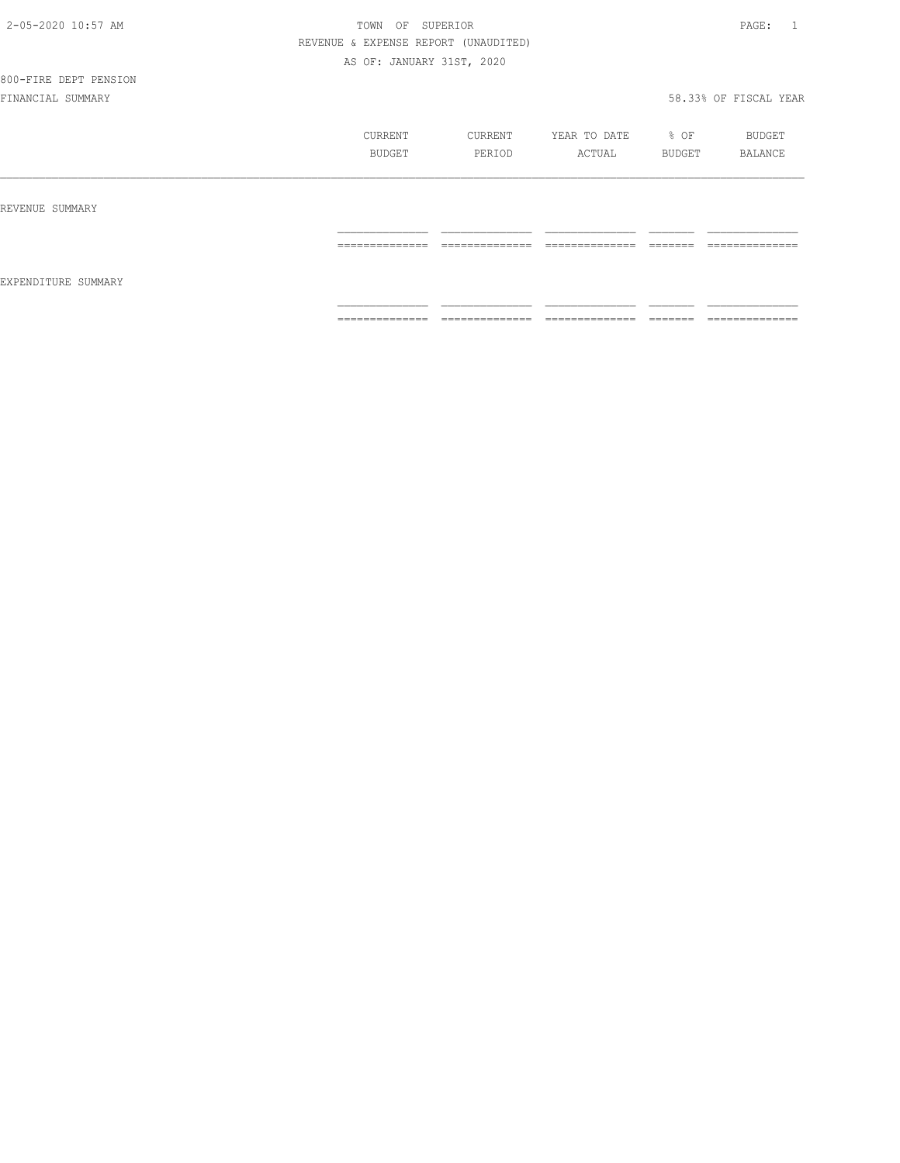# 800-FIRE DEPT PENSION

|                     | CURRENT<br>BUDGET                  | CURRENT<br>PERIOD   | YEAR TO DATE<br>ACTUAL | % OF<br>BUDGET     | BUDGET<br>BALANCE                 |
|---------------------|------------------------------------|---------------------|------------------------|--------------------|-----------------------------------|
| REVENUE SUMMARY     |                                    |                     |                        |                    |                                   |
|                     | _______________<br>--------------- | ______________<br>. | ______________<br>.    | ________<br>______ | ______________<br>--------------- |
| EXPENDITURE SUMMARY |                                    |                     |                        |                    |                                   |
|                     | ==============                     | ==============      | ==============         | ________<br>------ | ==============                    |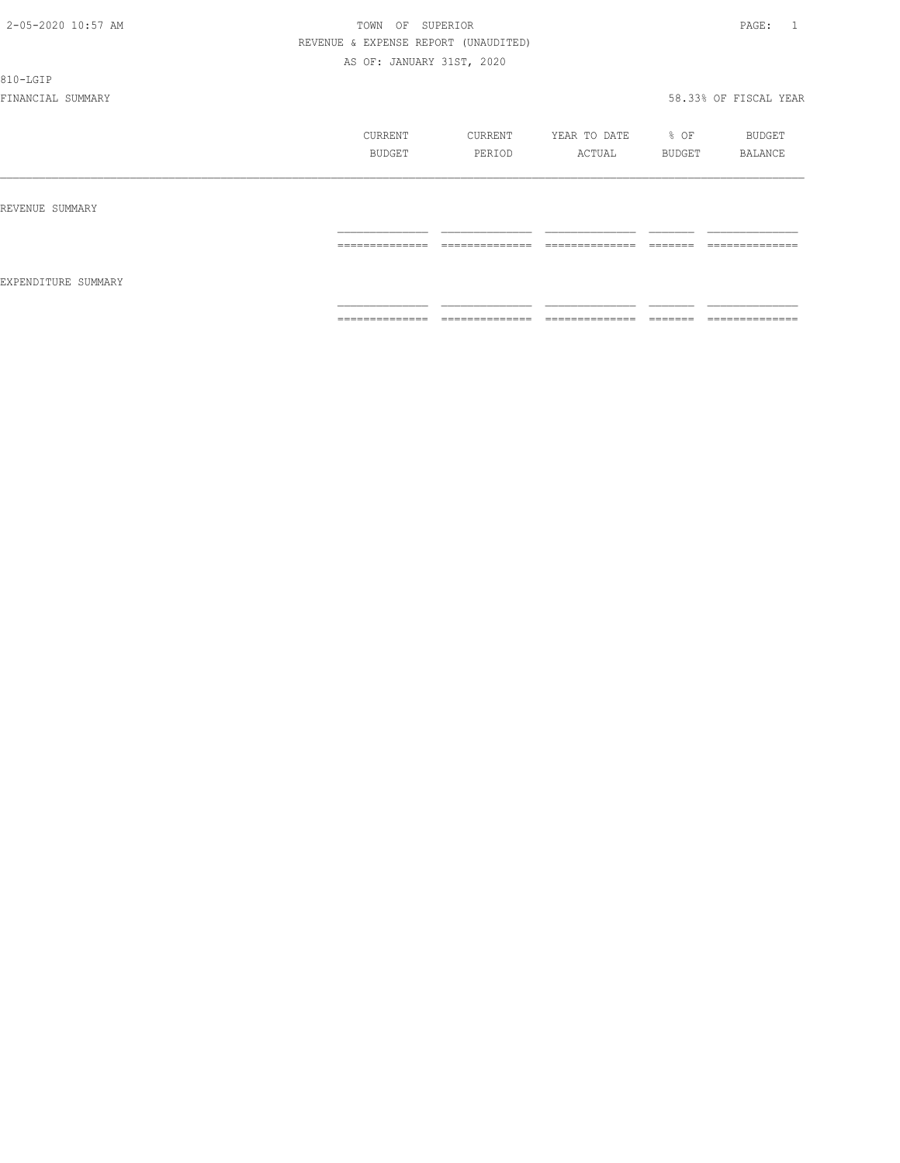810-LGIP

|                     | CURRENT<br>BUDGET                                                                                                                                                                                                                                                                                                                                                                                                                                                                      | CURRENT<br>PERIOD                                                                                                                                                                                                                                                                                                                                                                                                                                                                            | YEAR TO DATE<br>ACTUAL                                                                                                                                                                                                                                                                                                                                                                                                                                                                 | % OF<br>BUDGET | BUDGET<br>BALANCE                |
|---------------------|----------------------------------------------------------------------------------------------------------------------------------------------------------------------------------------------------------------------------------------------------------------------------------------------------------------------------------------------------------------------------------------------------------------------------------------------------------------------------------------|----------------------------------------------------------------------------------------------------------------------------------------------------------------------------------------------------------------------------------------------------------------------------------------------------------------------------------------------------------------------------------------------------------------------------------------------------------------------------------------------|----------------------------------------------------------------------------------------------------------------------------------------------------------------------------------------------------------------------------------------------------------------------------------------------------------------------------------------------------------------------------------------------------------------------------------------------------------------------------------------|----------------|----------------------------------|
| REVENUE SUMMARY     |                                                                                                                                                                                                                                                                                                                                                                                                                                                                                        |                                                                                                                                                                                                                                                                                                                                                                                                                                                                                              |                                                                                                                                                                                                                                                                                                                                                                                                                                                                                        |                |                                  |
|                     | $\begin{array}{cccccccccc} \multicolumn{2}{c}{} & \multicolumn{2}{c}{} & \multicolumn{2}{c}{} & \multicolumn{2}{c}{} & \multicolumn{2}{c}{} & \multicolumn{2}{c}{} & \multicolumn{2}{c}{} & \multicolumn{2}{c}{} & \multicolumn{2}{c}{} & \multicolumn{2}{c}{} & \multicolumn{2}{c}{} & \multicolumn{2}{c}{} & \multicolumn{2}{c}{} & \multicolumn{2}{c}{} & \multicolumn{2}{c}{} & \multicolumn{2}{c}{} & \multicolumn{2}{c}{} & \multicolumn{2}{c}{} & \multicolumn{2}{c}{} & \mult$ | $\begin{array}{c} \multicolumn{2}{c} {\textbf{1}} & \multicolumn{2}{c} {\textbf{2}} & \multicolumn{2}{c} {\textbf{3}} & \multicolumn{2}{c} {\textbf{4}} \\ \multicolumn{2}{c} {\textbf{2}} & \multicolumn{2}{c} {\textbf{3}} & \multicolumn{2}{c} {\textbf{4}} & \multicolumn{2}{c} {\textbf{5}} & \multicolumn{2}{c} {\textbf{6}} \\ \multicolumn{2}{c} {\textbf{4}} & \multicolumn{2}{c} {\textbf{5}} & \multicolumn{2}{c} {\textbf{6}} & \multicolumn{2}{c} {\textbf{6}} & \multicolumn{$ | $\begin{array}{cccccccccc} \multicolumn{2}{c}{} & \multicolumn{2}{c}{} & \multicolumn{2}{c}{} & \multicolumn{2}{c}{} & \multicolumn{2}{c}{} & \multicolumn{2}{c}{} & \multicolumn{2}{c}{} & \multicolumn{2}{c}{} & \multicolumn{2}{c}{} & \multicolumn{2}{c}{} & \multicolumn{2}{c}{} & \multicolumn{2}{c}{} & \multicolumn{2}{c}{} & \multicolumn{2}{c}{} & \multicolumn{2}{c}{} & \multicolumn{2}{c}{} & \multicolumn{2}{c}{} & \multicolumn{2}{c}{} & \multicolumn{2}{c}{} & \mult$ |                | ______________<br>-------------- |
| EXPENDITURE SUMMARY | ==============                                                                                                                                                                                                                                                                                                                                                                                                                                                                         | ==============                                                                                                                                                                                                                                                                                                                                                                                                                                                                               | ==============                                                                                                                                                                                                                                                                                                                                                                                                                                                                         | <b>COOCCOO</b> | ==============                   |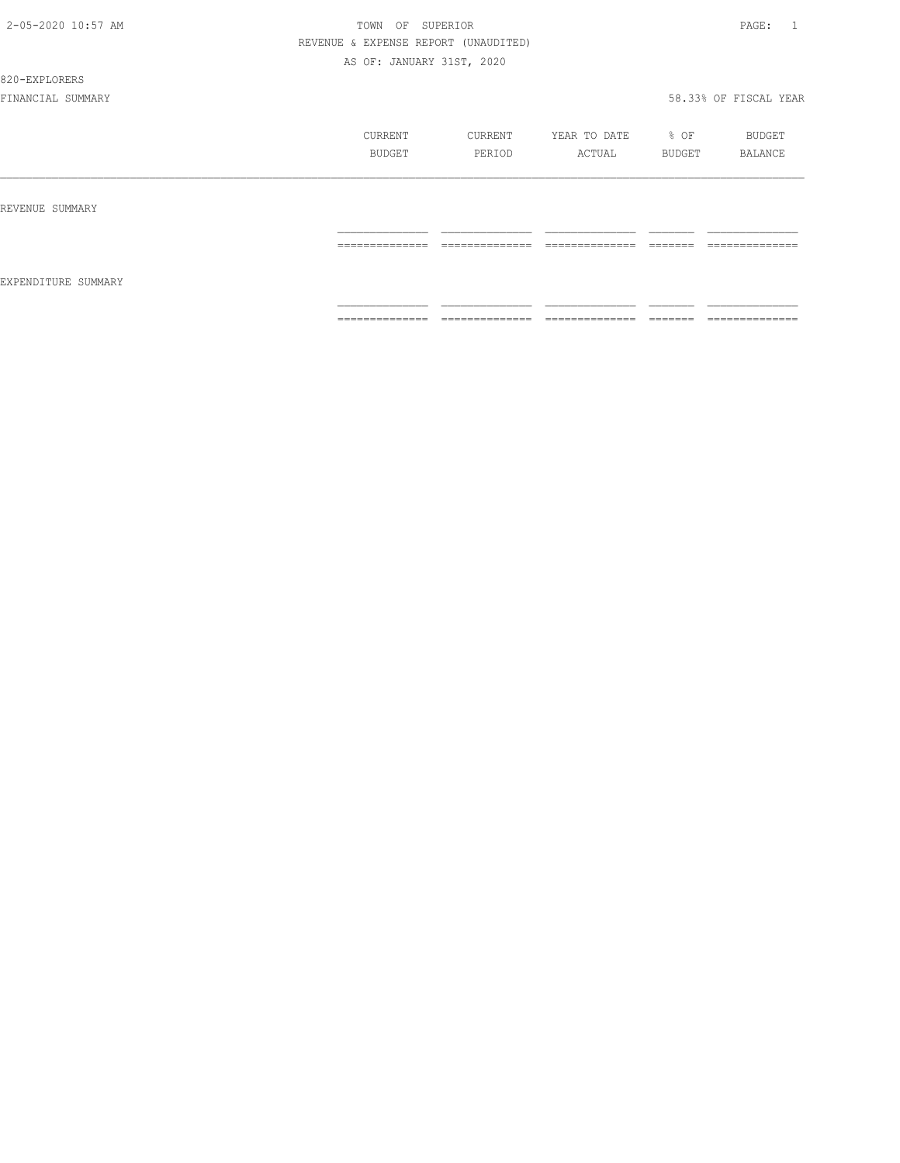#### 820-EXPLORERS

|                     | CURRENT<br>BUDGET   | CURRENT<br>PERIOD                 | YEAR TO DATE<br>ACTUAL             | % OF<br>BUDGET       | BUDGET<br>BALANCE                 |
|---------------------|---------------------|-----------------------------------|------------------------------------|----------------------|-----------------------------------|
| REVENUE SUMMARY     |                     | --------------                    | ---------------                    | --------             | --------------                    |
| EXPENDITURE SUMMARY | ==============      | .                                 | .                                  | _______              | .                                 |
|                     | --------------<br>. | --------------<br>_______________ | ---------------<br>_______________ | --------<br>________ | --------------<br>_______________ |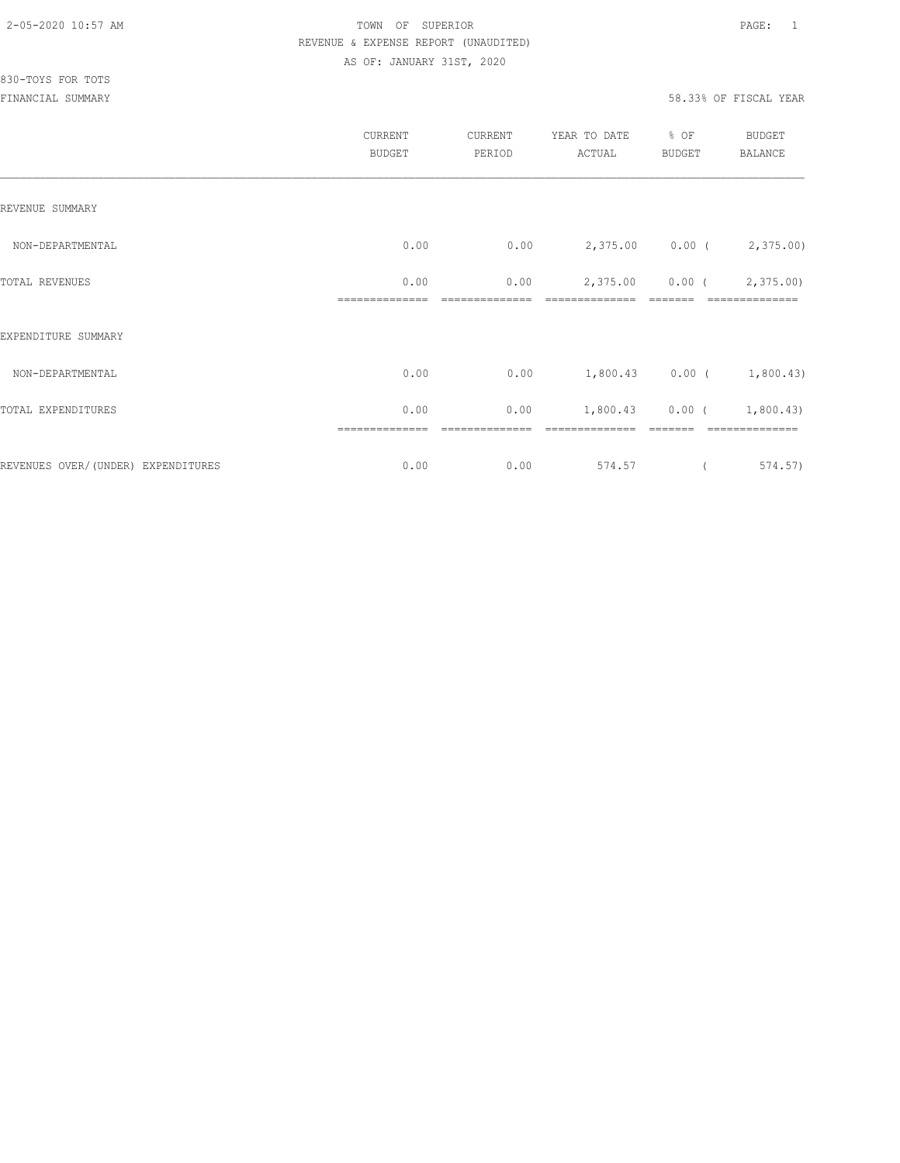|                                    | CURRENT<br><b>BUDGET</b> | CURRENT<br>PERIOD | YEAR TO DATE<br>ACTUAL | % OF<br>BUDGET | BUDGET<br>BALANCE           |
|------------------------------------|--------------------------|-------------------|------------------------|----------------|-----------------------------|
| REVENUE SUMMARY                    |                          |                   |                        |                |                             |
| NON-DEPARTMENTAL                   | 0.00                     | 0.00              |                        |                | 2,375.00 0.00 (2,375.00)    |
| TOTAL REVENUES                     | 0.00                     | 0.00              | 2,375.00               |                | $0.00$ ( $2,375.00$ )       |
| EXPENDITURE SUMMARY                |                          |                   |                        |                |                             |
| NON-DEPARTMENTAL                   | 0.00                     | 0.00              |                        |                | $1,800.43$ 0.00 ( 1,800.43) |
| TOTAL EXPENDITURES                 | 0.00                     | 0.00              |                        |                | $1,800.43$ 0.00 ( 1,800.43) |
| REVENUES OVER/(UNDER) EXPENDITURES | 0.00                     | 0.00              | 574.57                 |                | 574.57)                     |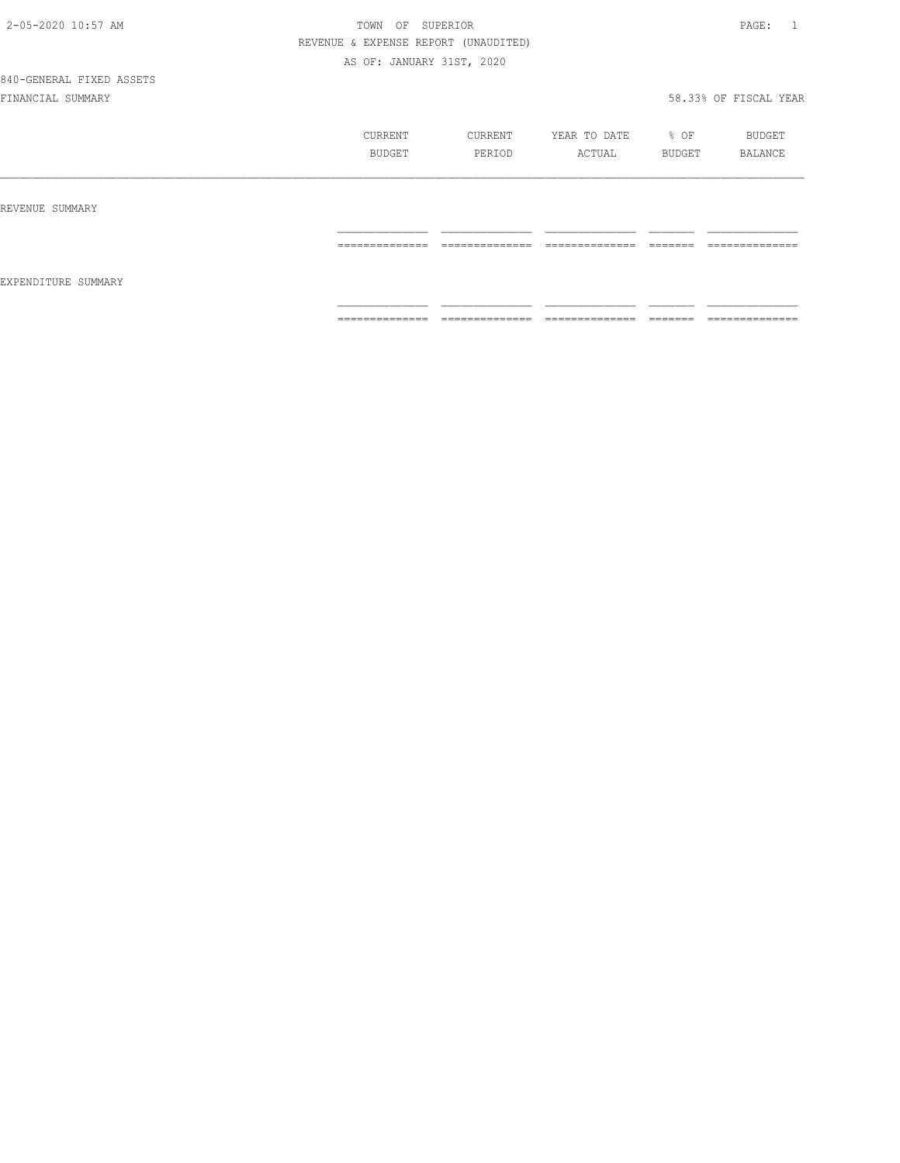# 840-GENERAL FIXED ASSETS

|                     | CURRENT<br>BUDGET                                                                                                                                                                                                                                                                                                                                                                                                                                                                            | CURRENT<br>PERIOD                                                                                                                                                                                                                                                                                                                                                                                                                                                                      | YEAR TO DATE<br>ACTUAL            | % OF<br>BUDGET                                                                                                                                                                                                                                                                                                                                                                                                                                                                                                                                                 | BUDGET<br>BALANCE                                                                                                                                                                                                                                                                                                                                                                                                                                                                            |
|---------------------|----------------------------------------------------------------------------------------------------------------------------------------------------------------------------------------------------------------------------------------------------------------------------------------------------------------------------------------------------------------------------------------------------------------------------------------------------------------------------------------------|----------------------------------------------------------------------------------------------------------------------------------------------------------------------------------------------------------------------------------------------------------------------------------------------------------------------------------------------------------------------------------------------------------------------------------------------------------------------------------------|-----------------------------------|----------------------------------------------------------------------------------------------------------------------------------------------------------------------------------------------------------------------------------------------------------------------------------------------------------------------------------------------------------------------------------------------------------------------------------------------------------------------------------------------------------------------------------------------------------------|----------------------------------------------------------------------------------------------------------------------------------------------------------------------------------------------------------------------------------------------------------------------------------------------------------------------------------------------------------------------------------------------------------------------------------------------------------------------------------------------|
| REVENUE SUMMARY     |                                                                                                                                                                                                                                                                                                                                                                                                                                                                                              |                                                                                                                                                                                                                                                                                                                                                                                                                                                                                        |                                   |                                                                                                                                                                                                                                                                                                                                                                                                                                                                                                                                                                |                                                                                                                                                                                                                                                                                                                                                                                                                                                                                              |
| EXPENDITURE SUMMARY | $\begin{array}{c} \multicolumn{2}{c} {\textbf{1}} & \multicolumn{2}{c} {\textbf{2}} & \multicolumn{2}{c} {\textbf{3}} & \multicolumn{2}{c} {\textbf{4}} \\ \multicolumn{2}{c} {\textbf{5}} & \multicolumn{2}{c} {\textbf{6}} & \multicolumn{2}{c} {\textbf{7}} & \multicolumn{2}{c} {\textbf{8}} & \multicolumn{2}{c} {\textbf{9}} \\ \multicolumn{2}{c} {\textbf{6}} & \multicolumn{2}{c} {\textbf{7}} & \multicolumn{2}{c} {\textbf{8}} & \multicolumn{2}{c} {\textbf{9}} & \multicolumn{$ | $\begin{array}{cccccccccc} \multicolumn{2}{c}{} & \multicolumn{2}{c}{} & \multicolumn{2}{c}{} & \multicolumn{2}{c}{} & \multicolumn{2}{c}{} & \multicolumn{2}{c}{} & \multicolumn{2}{c}{} & \multicolumn{2}{c}{} & \multicolumn{2}{c}{} & \multicolumn{2}{c}{} & \multicolumn{2}{c}{} & \multicolumn{2}{c}{} & \multicolumn{2}{c}{} & \multicolumn{2}{c}{} & \multicolumn{2}{c}{} & \multicolumn{2}{c}{} & \multicolumn{2}{c}{} & \multicolumn{2}{c}{} & \multicolumn{2}{c}{} & \mult$ | ______________<br>--------------- | $\begin{array}{c} \begin{array}{c} \begin{array}{c} \begin{array}{c} \begin{array}{c} \end{array}\\ \end{array}\\ \end{array} \end{array} \end{array} \end{array} \end{array} \end{array} \end{array} \begin{array}{c} \begin{array}{c} \begin{array}{c} \begin{array}{c} \end{array}\\ \end{array} \end{array} \end{array} \end{array} \begin{array}{c} \begin{array}{c} \begin{array}{c} \end{array}\\ \end{array} \end{array} \end{array} \end{array} \begin{array}{c} \begin{array}{c} \begin{array}{c} \end{array}\\ \end{array} \end{array} \end{array}$ | $\begin{array}{c} \multicolumn{2}{c} {\textbf{1}} & \multicolumn{2}{c} {\textbf{2}} & \multicolumn{2}{c} {\textbf{3}} & \multicolumn{2}{c} {\textbf{4}} \\ \multicolumn{2}{c} {\textbf{5}} & \multicolumn{2}{c} {\textbf{6}} & \multicolumn{2}{c} {\textbf{7}} & \multicolumn{2}{c} {\textbf{8}} & \multicolumn{2}{c} {\textbf{9}} \\ \multicolumn{2}{c} {\textbf{1}} & \multicolumn{2}{c} {\textbf{1}} & \multicolumn{2}{c} {\textbf{1}} & \multicolumn{2}{c} {\textbf{1}} & \multicolumn{$ |
|                     | ==============                                                                                                                                                                                                                                                                                                                                                                                                                                                                               | ==============                                                                                                                                                                                                                                                                                                                                                                                                                                                                         | ==============                    | -------                                                                                                                                                                                                                                                                                                                                                                                                                                                                                                                                                        | ==============                                                                                                                                                                                                                                                                                                                                                                                                                                                                               |